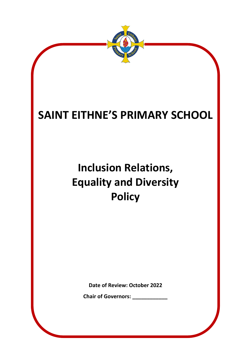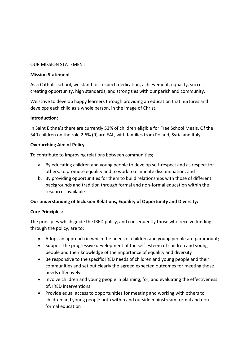### OUR MISSION STATEMENT

#### **Mission Statement**

As a Catholic school, we stand for respect, dedication, achievement, equality, success, creating opportunity, high standards, and strong ties with our parish and community.

We strive to develop happy learners through providing an education that nurtures and develops each child as a whole person, in the image of Christ.

### **Introduction:**

In Saint Eithne's there are currently 52% of children eligible for Free School Meals. Of the 340 children on the role 2.6% (9) are EAL, with families from Poland, Syria and Italy.

# **Overarching Aim of Policy**

To contribute to improving relations between communities;

- a. By educating children and young people to develop self-respect and as respect for others, to promote equality and to work to eliminate discrimination; and
- b. By providing opportunities for them to build relationships with those of different backgrounds and tradition through formal and non-formal education within the resources available

# **Our understanding of Inclusion Relations, Equality of Opportunity and Diversity:**

# **Core Principles:**

The principles which guide the IRED policy, and consequently those who receive funding through the policy, are to:

- Adopt an approach in which the needs of children and young people are paramount;
- Support the progressive development of the self-esteem of children and young people and their knowledge of the importance of equality and diversity
- Be responsive to the specific IRED needs of children and young people and their communities and set out clearly the agreed expected outcomes for meeting those needs effectively
- Involve children and young people in planning, for, and evaluating the effectiveness of, IRED interventions
- Provide equal access to opportunities for meeting and working with others to children and young people both within and outside mainstream formal and nonformal education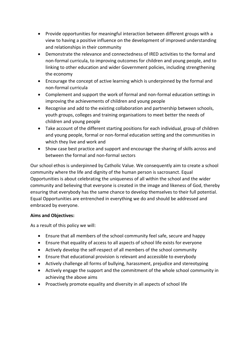- Provide opportunities for meaningful interaction between different groups with a view to having a positive influence on the development of improved understanding and relationships in their community
- Demonstrate the relevance and connectedness of IRED activities to the formal and non-formal curricula, to improving outcomes for children and young people, and to linking to other education and wider Government policies, including strengthening the economy
- Encourage the concept of active learning which is underpinned by the formal and non-formal curricula
- Complement and support the work of formal and non-formal education settings in improving the achievements of children and young people
- Recognise and add to the existing collaboration and partnership between schools, youth groups, colleges and training organisations to meet better the needs of children and young people
- Take account of the different starting positions for each individual, group of children and young people, formal or non-formal education setting and the communities in which they live and work and
- Show case best practice and support and encourage the sharing of skills across and between the formal and non-formal sectors

Our school ethos is underpinned by Catholic Value. We consequently aim to create a school community where the life and dignity of the human person is sacrosanct. Equal Opportunities is about celebrating the uniqueness of all within the school and the wider community and believing that everyone is created in the image and likeness of God, thereby ensuring that everybody has the same chance to develop themselves to their full potential. Equal Opportunities are entrenched in everything we do and should be addressed and embraced by everyone.

# **Aims and Objectives:**

As a result of this policy we will:

- Ensure that all members of the school community feel safe, secure and happy
- Ensure that equality of access to all aspects of school life exists for everyone
- Actively develop the self-respect of all members of the school community
- Ensure that educational provision is relevant and accessible to everybody
- Actively challenge all forms of bullying, harassment, prejudice and stereotyping
- Actively engage the support and the commitment of the whole school community in achieving the above aims
- Proactively promote equality and diversity in all aspects of school life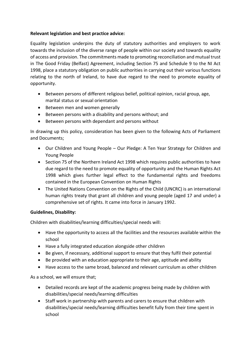# **Relevant legislation and best practice advice:**

Equality legislation underpins the duty of statutory authorities and employers to work towards the inclusion of the diverse range of people within our society and towards equality of access and provision. The commitments made to promoting reconciliation and mutual trust in The Good Friday (Belfast) Agreement, including Section 75 and Schedule 9 to the NI Act 1998, place a statutory obligation on public authorities in carrying out their various functions relating to the north of Ireland, to have due regard to the need to promote equality of opportunity.

- Between persons of different religious belief, political opinion, racial group, age, marital status or sexual orientation
- Between men and women generally
- Between persons with a disability and persons without; and
- Between persons with dependant and persons without

In drawing up this policy, consideration has been given to the following Acts of Parliament and Documents;

- Our Children and Young People Our Pledge: A Ten Year Strategy for Children and Young People
- Section 75 of the Northern Ireland Act 1998 which requires public authorities to have due regard to the need to promote equality of opportunity and the Human Rights Act 1998 which gives further legal effect to the fundamental rights and freedoms contained in the European Convention on Human Rights
- The United Nations Convention on the Rights of the Child (UNCRC) is an international human rights treaty that grant all children and young people (aged 17 and under) a comprehensive set of rights. It came into force in January 1992.

# **Guidelines, Disability:**

Children with disabilities/learning difficulties/special needs will:

- Have the opportunity to access all the facilities and the resources available within the school
- Have a fully integrated education alongside other children
- Be given, if necessary, additional support to ensure that they fulfil their potential
- Be provided with an education appropriate to their age, aptitude and ability
- Have access to the same broad, balanced and relevant curriculum as other children

As a school, we will ensure that;

- Detailed records are kept of the academic progress being made by children with disabilities/special needs/learning difficulties
- Staff work in partnership with parents and carers to ensure that children with disabilities/special needs/learning difficulties benefit fully from their time spent in school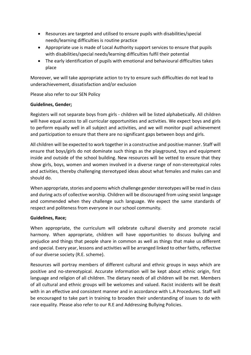- Resources are targeted and utilised to ensure pupils with disabilities/special needs/learning difficulties is routine practice
- Appropriate use is made of Local Authority support services to ensure that pupils with disabilities/special needs/learning difficulties fulfil their potential
- The early identification of pupils with emotional and behavioural difficulties takes place

Moreover, we will take appropriate action to try to ensure such difficulties do not lead to underachievement, dissatisfaction and/or exclusion

Please also refer to our SEN Policy

# **Guidelines, Gender;**

Registers will not separate boys from girls - children will be listed alphabetically. All children will have equal access to all curricular opportunities and activities. We expect boys and girls to perform equally well in all subject and activities, and we will monitor pupil achievement and participation to ensure that there are no significant gaps between boys and girls.

All children will be expected to work together in a constructive and positive manner. Staff will ensure that boys/girls do not dominate such things as the playground, toys and equipment inside and outside of the school building. New resources will be vetted to ensure that they show girls, boys, women and women involved in a diverse range of non-stereotypical roles and activities, thereby challenging stereotyped ideas about what females and males can and should do.

When appropriate, stories and poems which challenge gender stereotypes will be read in class and during acts of collective worship. Children will be discouraged from using sexist language and commended when they challenge such language. We expect the same standards of respect and politeness from everyone in our school community.

# **Guidelines, Race;**

When appropriate, the curriculum will celebrate cultural diversity and promote racial harmony. When appropriate, children will have opportunities to discuss bullying and prejudice and things that people share in common as well as things that make us different and special. Every year, lessons and activities will be arranged linked to other faiths, reflective of our diverse society (R.E. scheme).

Resources will portray members of different cultural and ethnic groups in ways which are positive and no-stereotypical. Accurate information will be kept about ethnic origin, first language and religion of all children. The dietary needs of all children will be met. Members of all cultural and ethnic groups will be welcomes and valued. Racist incidents will be dealt with in an effective and consistent manner and in accordance with L.A Procedures. Staff will be encouraged to take part in training to broaden their understanding of issues to do with race equality. Please also refer to our R.E and Addressing Bullying Policies.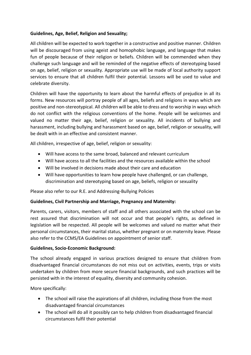# **Guidelines, Age, Belief, Religion and Sexuality;**

All children will be expected to work together in a constructive and positive manner. Children will be discouraged from using ageist and homophobic language, and language that makes fun of people because of their religion or beliefs. Children will be commended when they challenge such language and will be reminded of the negative effects of stereotyping based on age, belief, religion or sexuality. Appropriate use will be made of local authority support services to ensure that all children fulfil their potential. Lessons will be used to value and celebrate diversity.

Children will have the opportunity to learn about the harmful effects of prejudice in all its forms. New resources will portray people of all ages, beliefs and religions in ways which are positive and non-stereotypical. All children will be able to dress and to worship in ways which do not conflict with the religious conventions of the home. People will be welcomes and valued no matter their age, belief, religion or sexuality. All incidents of bullying and harassment, including bullying and harassment based on age, belief, religion or sexuality, will be dealt with in an effective and consistent manner.

All children, irrespective of age, belief, religion or sexuality:

- Will have access to the same broad, balanced and relevant curriculum
- Will have access to all the facilities and the resources available within the school
- Will be involved in decisions made about their care and education
- Will have opportunities to learn how people have challenged, or can challenge, discrimination and stereotyping based on age, beliefs, religion or sexuality

Please also refer to our R.E. and Addressing-Bullying Policies

# **Guidelines, Civil Partnership and Marriage, Pregnancy and Maternity:**

Parents, carers, visitors, members of staff and all others associated with the school can be rest assured that discrimination will not occur and that people's rights, as defined in legislation will be respected. All people will be welcomes and valued no matter what their personal circumstances, their marital status, whether pregnant or on maternity leave. Please also refer to the CCMS/EA Guidelines on appointment of senior staff.

# **Guidelines, Socio-Economic Background:**

The school already engaged in various practices designed to ensure that children from disadvantaged financial circumstances do not miss out on activities, events, trips or visits undertaken by children from more secure financial backgrounds, and such practices will be persisted with in the interest of equality, diversity and community cohesion.

More specifically:

- The school will raise the aspirations of all children, including those from the most disadvantaged financial circumstances
- The school will do all it possibly can to help children from disadvantaged financial circumstances fulfil their potential